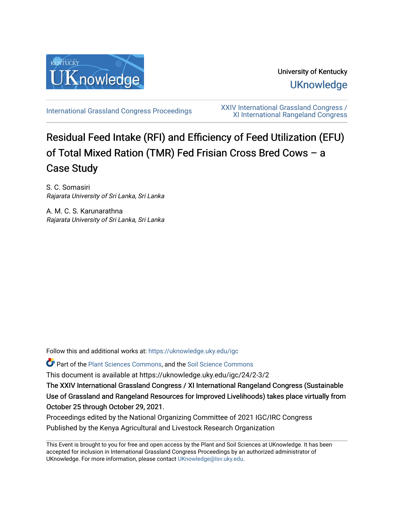

University of Kentucky **UKnowledge** 

[International Grassland Congress Proceedings](https://uknowledge.uky.edu/igc) [XXIV International Grassland Congress /](https://uknowledge.uky.edu/igc/24)  [XI International Rangeland Congress](https://uknowledge.uky.edu/igc/24) 

# Residual Feed Intake (RFI) and Efficiency of Feed Utilization (EFU) of Total Mixed Ration (TMR) Fed Frisian Cross Bred Cows – a Case Study

S. C. Somasiri Rajarata University of Sri Lanka, Sri Lanka

A. M. C. S. Karunarathna Rajarata University of Sri Lanka, Sri Lanka

Follow this and additional works at: [https://uknowledge.uky.edu/igc](https://uknowledge.uky.edu/igc?utm_source=uknowledge.uky.edu%2Figc%2F24%2F2-3%2F2&utm_medium=PDF&utm_campaign=PDFCoverPages) 

Part of the [Plant Sciences Commons](http://network.bepress.com/hgg/discipline/102?utm_source=uknowledge.uky.edu%2Figc%2F24%2F2-3%2F2&utm_medium=PDF&utm_campaign=PDFCoverPages), and the [Soil Science Commons](http://network.bepress.com/hgg/discipline/163?utm_source=uknowledge.uky.edu%2Figc%2F24%2F2-3%2F2&utm_medium=PDF&utm_campaign=PDFCoverPages) 

This document is available at https://uknowledge.uky.edu/igc/24/2-3/2

The XXIV International Grassland Congress / XI International Rangeland Congress (Sustainable Use of Grassland and Rangeland Resources for Improved Livelihoods) takes place virtually from October 25 through October 29, 2021.

Proceedings edited by the National Organizing Committee of 2021 IGC/IRC Congress Published by the Kenya Agricultural and Livestock Research Organization

This Event is brought to you for free and open access by the Plant and Soil Sciences at UKnowledge. It has been accepted for inclusion in International Grassland Congress Proceedings by an authorized administrator of UKnowledge. For more information, please contact [UKnowledge@lsv.uky.edu](mailto:UKnowledge@lsv.uky.edu).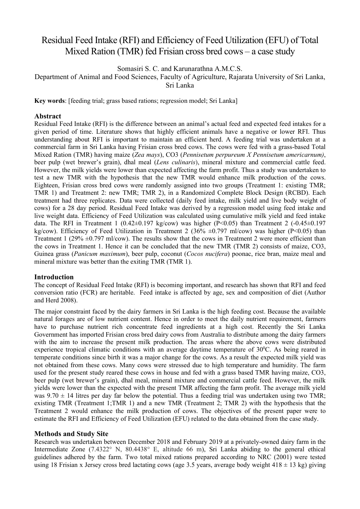# Residual Feed Intake (RFI) and Efficiency of Feed Utilization (EFU) of Total Mixed Ration (TMR) fed Frisian cross bred cows – a case study

Somasiri S. C. and Karunarathna A.M.C.S.

Department of Animal and Food Sciences, Faculty of Agriculture, Rajarata University of Sri Lanka, Sri Lanka

**Key words**: [feeding trial; grass based rations; regression model; Sri Lanka]

# **Abstract**

Residual Feed Intake (RFI) is the difference between an animal's actual feed and expected feed intakes for a given period of time. Literature shows that highly efficient animals have a negative or lower RFI. Thus understanding about RFI is important to maintain an efficient herd. A feeding trial was undertaken at a commercial farm in Sri Lanka having Frisian cross bred cows. The cows were fed with a grass-based Total Mixed Ration (TMR) having maize (*Zea mays*), CO3 (*Pennisetum perpureum X Pennisetum americarnum)*, beer pulp (wet brewer's grain), dhal meal (*Lens culinaris*), mineral mixture and commercial cattle feed. However, the milk yields were lower than expected affecting the farm profit. Thus a study was undertaken to test a new TMR with the hypothesis that the new TMR would enhance milk production of the cows. Eighteen, Frisian cross bred cows were randomly assigned into two groups (Treatment 1: existing TMR; TMR 1) and Treatment 2: new TMR; TMR 2), in a Randomized Complete Block Design (RCBD). Each treatment had three replicates. Data were collected (daily feed intake, milk yield and live body weight of cows) for a 28 day period. Residual Feed Intake was derived by a regression model using feed intake and live weight data. Efficiency of Feed Utilization was calculated using cumulative milk yield and feed intake data. The RFI in Treatment 1 (0.42 $\pm$ 0.197 kg/cow) was higher (P<0.05) than Treatment 2 (-0.45 $\pm$ 0.197 kg/cow). Efficiency of Feed Utilization in Treatment 2 (36%  $\pm$ 0.797 ml/cow) was higher (P<0.05) than Treatment 1 (29%  $\pm$ 0.797 ml/cow). The results show that the cows in Treatment 2 were more efficient than the cows in Treatment 1. Hence it can be concluded that the new TMR (TMR 2) consists of maize, CO3, Guinea grass (*Panicum maximum*), beer pulp, coconut (*Cocos nucifera*) poonac, rice bran, maize meal and mineral mixture was better than the exiting TMR (TMR 1).

# **Introduction**

The concept of Residual Feed Intake (RFI) is becoming important, and research has shown that RFI and feed conversion ratio (FCR) are heritable. Feed intake is affected by age, sex and composition of diet (Author and Herd 2008).

The major constraint faced by the dairy farmers in Sri Lanka is the high feeding cost. Because the available natural forages are of low nutrient content. Hence in order to meet the daily nutrient requirement, farmers have to purchase nutrient rich concentrate feed ingredients at a high cost. Recently the Sri Lanka Government has imported Frisian cross bred dairy cows from Australia to distribute among the dairy farmers with the aim to increase the present milk production. The areas where the above cows were distributed experience tropical climatic conditions with an average daytime temperature of  $30^{\circ}$ C. As being reared in temperate conditions since birth it was a major change for the cows. As a result the expected milk yield was not obtained from these cows. Many cows were stressed due to high temperature and humidity. The farm used for the present study reared these cows in house and fed with a grass based TMR having maize, CO3, beer pulp (wet brewer's grain), dhal meal, mineral mixture and commercial cattle feed. However, the milk yields were lower than the expected with the present TMR affecting the farm profit. The average milk yield was  $9.70 \pm 14$  litres per day far below the potential. Thus a feeding trial was undertaken using two TMR; existing TMR (Treatment 1;TMR 1) and a new TMR (Treatment 2; TMR 2) with the hypothesis that the Treatment 2 would enhance the milk production of cows. The objectives of the present paper were to estimate the RFI and Efficiency of Feed Utilization (EFU) related to the data obtained from the case study.

# **Methods and Study Site**

Research was undertaken between December 2018 and February 2019 at a privately-owned dairy farm in the Intermediate Zone (7.4322° N, 80.4438° E, altitude 66 m), Sri Lanka abiding to the general ethical guidelines adhered by the farm. Two total mixed rations prepared according to NRC (2001) were tested using 18 Frisian x Jersey cross bred lactating cows (age 3.5 years, average body weight  $418 \pm 13$  kg) giving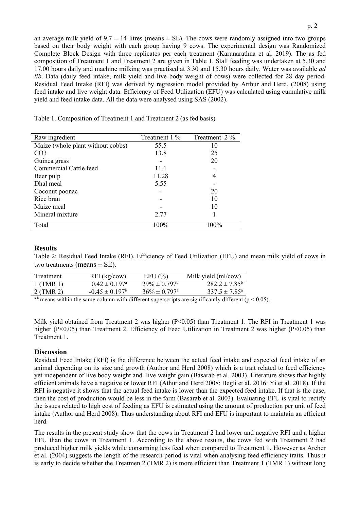an average milk yield of  $9.7 \pm 14$  litres (means  $\pm$  SE). The cows were randomly assigned into two groups based on their body weight with each group having 9 cows. The experimental design was Randomized Complete Block Design with three replicates per each treatment (Karunarathna et al. 2019). The as fed composition of Treatment 1 and Treatment 2 are given in Table 1. Stall feeding was undertaken at 5.30 and 17.00 hours daily and machine milking was practised at 3.30 and 15.30 hours daily. Water was available *ad lib*. Data (daily feed intake, milk yield and live body weight of cows) were collected for 28 day period. Residual Feed Intake (RFI) was derived by regression model provided by [Arthur and Herd, \(2008\)](#page-3-0) using feed intake and live weight data. Efficiency of Feed Utilization (EFU) was calculated using cumulative milk yield and feed intake data. All the data were analysed using SAS (2002).

Table 1. Composition of Treatment 1 and Treatment 2 (as fed basis)

| Raw ingredient                    | Treatment 1 % | Treatment 2 % |
|-----------------------------------|---------------|---------------|
| Maize (whole plant without cobbs) | 55.5          | 10            |
| CO <sub>3</sub>                   | 13.8          | 25            |
| Guinea grass                      |               | 20            |
| Commercial Cattle feed            | 11.1          |               |
| Beer pulp                         | 11.28         |               |
| Dhal meal                         | 5.55          |               |
| Coconut poonac                    |               | 20            |
| Rice bran                         |               | 10            |
| Maize meal                        |               | 10            |
| Mineral mixture                   | 2.77          |               |
| Total                             | 100%          | 100%          |

# **Results**

Table 2: Residual Feed Intake (RFI), Efficiency of Feed Utilization (EFU) and mean milk yield of cows in two treatments (means  $\pm$  SE).

| Treatment                                                                                                       | $RFI$ (kg/cow)            | EFU(%)                        | Milk yield (ml/cow)                       |
|-----------------------------------------------------------------------------------------------------------------|---------------------------|-------------------------------|-------------------------------------------|
| $1$ (TMR 1)                                                                                                     | $0.42 \pm 0.197^{\rm a}$  | $29\% \pm 0.797$ <sup>b</sup> | $282.2 \pm 7.85^{\circ}$                  |
| 2 (TMR 2)                                                                                                       | $-0.45 \pm 0.197^{\circ}$ | $36\% \pm 0.797$ <sup>a</sup> | $337.5 \pm 7.85^{\circ}$                  |
| the contract of the contract of the contract of the contract of the contract of the contract of the contract of |                           |                               | $\sim$ $\sim$ $\sim$ $\sim$ $\sim$ $\sim$ |

<sup>a b</sup> means within the same column with different superscripts are significantly different ( $p < 0.05$ ).

Milk yield obtained from Treatment 2 was higher (P<0.05) than Treatment 1. The RFI in Treatment 1 was higher (P<0.05) than Treatment 2. Efficiency of Feed Utilization in Treatment 2 was higher (P<0.05) than Treatment 1.

# **Discussion**

Residual Feed Intake (RFI) is the difference between the actual feed intake and expected feed intake of an animal depending on its size and growth (Author and Herd 2008) which is a trait related to feed efficiency yet independent of live body weight and live weight gain (Basarab et al. 2003). Literature shows that highly efficient animals have a negative or lower RFI (Athur and Herd 2008: Begli et al. 2016: Yi et al. 2018). If the RFI is negative it shows that the actual feed intake is lower than the expected feed intake. If that is the case, then the cost of production would be less in the farm (Basarab et al. 2003). Evaluating EFU is vital to rectify the issues related to high cost of feeding as EFU is estimated using the amount of production per unit of feed intake (Author and Herd 2008). Thus understanding about RFI and EFU is important to maintain an efficient herd.

The results in the present study show that the cows in Treatment 2 had lower and negative RFI and a higher EFU than the cows in Treatment 1. According to the above results, the cows fed with Treatment 2 had produced higher milk yields while consuming less feed when compared to Treatment 1. However as Archer et al. (2004) suggests the length of the research period is vital when analysing feed efficiency traits. Thus it is early to decide whether the Treatmen 2 (TMR 2) is more efficient than Treatment 1 (TMR 1) without long